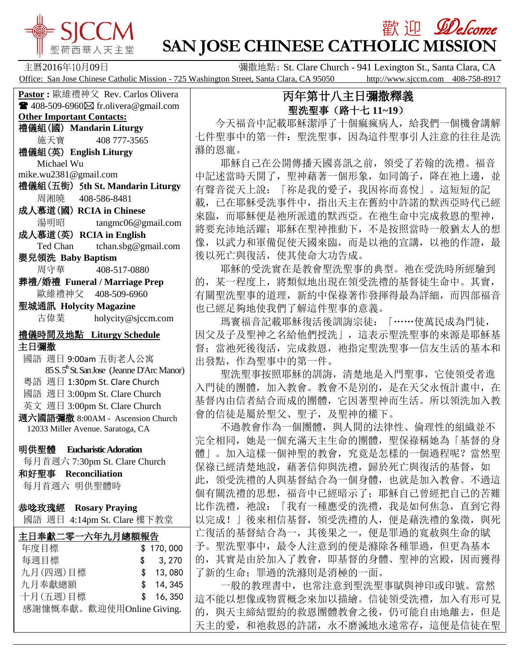

## **歡迎** *Welcome* **SAN JOSE CHINESE CATHOLIC MISSION**

主曆2016年10月09日 彌撒地點: St. Clare Church - 941 Lexington St., Santa Clara, CA Office: San Jose Chinese Catholic Mission - 725 Washington Street, Santa Clara, CA 95050 http://www.sjccm.com 408-758-8917

## **Pastor :** 歐維禮神父 Rev. Carlos Olivera  $\blacksquare$  408-509-6960 $\boxtimes$  fr.olivera@gmail.com **Other Important Contacts:** 禮儀組(國) **Mandarin Liturgy** 施天寶 408 777-3565 禮儀組(英) **English Liturgy** Michael Wu mike.wu2381@gmail.com 禮儀組(五街) 5**th St. Mandarin Liturgy** 周湘曉 408-586-8481 成人慕道(國) **RCIA in Chinese** 湯明昭 tangmc06@gmail.com 成人慕道(英) **RCIA in English** Ted Chan tchan.sbg@gmail.com 嬰兒領洗 **Baby Baptism** 周守華 408-517-0880 葬禮/婚禮 **Funeral / Marriage Prep** 歐維禮神父 408-509-6960 聖城通訊 **Holycity Magazine** 古偉業 [holycity@sjccm.com](mailto:holycity@sjccm.com) 禮儀時間及地點 **Liturgy Schedule** 主日彌撒 國語 週日 9:00am 五街老人公寓 85 S. 5<sup>th</sup> St. San Jose (Jeanne D'Arc Manor) 粵語 週日 1:30pm St. Clare Church 國語 週日 3:00pm St. Clare Church 英文 週日 3:00pm St. Clare Church 週六國語彌撒 8:00AM - Ascension Church 12033 Miller Avenue. Saratoga, CA 明供聖體 **Eucharistic Adoration** 每月首週六 7:30pm St. Clare Church 和好聖事 **Reconciliation** 每月首週六 明供聖體時 恭唸玫瑰經 **Rosary Praying** 國語 週日 4:14pm St. Clare 樓下教堂٦ 主日奉獻二零一六年九月總額報告 年度目標 \$ 170,000 每週目標 \$ 3,270 九月(四週)目標 \$ 13,080 九月奉獻總額 \$ 14,345 十月(五週)目標 \$ 16,350 感謝慷慨奉獻。歡迎使用Online Giving.

## 丙年第廿八主日彌撒釋義 聖洗聖事(路十七 **11~19**)

 今天福音中記載耶穌潔淨了十個痲瘋病人,給我們一個機會講解 七件聖事中的第一件:聖洗聖事,因為這件聖事引人注意的往往是洗 滌的恩寵。

 耶穌自己在公開傳播天國喜訊之前,領受了若翰的洗禮。福音 中記述當時天開了, 聖神藉著一個形象, 如同鴿子, 降在祂上邊, 並 有聲音從天上說:「祢是我的愛子,我因祢而喜悅」。這短短的記 載,已在耶穌受洗事件中,指出天主在舊約中許諾的默西亞時代已經 來臨,而耶穌便是祂所派遣的默西亞。在祂生命中完成救恩的聖神, 將要充沛地活躍;耶穌在聖神推動下,不是按照當時一般猶太人的想 像,以武力和軍備促使天國來臨,而是以祂的宣講,以祂的作證,最 後以死亡與復活,使其使命大功告成。

 耶穌的受洗實在是教會聖洗聖事的典型。祂在受洗時所經驗到 的,某一程度上,將類似地出現在領受洗禮的基督徒生命中。其實, 有關聖洗聖事的道理,新約中保祿著作發揮得最為詳細,而四部福音 也已經足夠地使我們了解這件聖事的意義。

 瑪竇福音記載耶穌復活後訓誨宗徒:「……使萬民成為門徒, 因父及子及聖神之名給他們授洗」,這表示聖洗聖事的來源是耶穌基 督; 當祂死後復活, 完成救恩, 祂指定聖洗聖事一信友生活的基本和 出發點,作為聖事中的第一件。

 聖洗聖事按照耶穌的訓誨,清楚地是入門聖事,它使領受者進 入門徒的團體,加入教會。教會不是別的,是在天父永恆計畫中,在 基督內由信者結合而成的團體,它因著聖神而生活。所以領洗加入教 會的信徒是屬於聖父、聖子,及聖神的權下。

不過教會作為一個團體,與人間的法律性、倫理性的組織並不 完全相同,她是一個充滿天主生命的團體,聖保祿稱她為「基督的身 體」。加入這樣一個神聖的教會,究竟是怎樣的一個過程呢?當然聖 保祿已經清楚地說,藉著信仰與洗禮,歸於死亡與復活的基督,如 此,領受洗禮的人與基督結合為一個身體,也就是加入教會。不過這 個有關洗禮的思想,福音中已經暗示了;耶穌自己曾經把自己的苦難 比作洗禮,祂說:「我有一種應受的洗禮,我是如何焦急,直到它得 以完成!」後來相信基督, 領受洗禮的人, 便是藉洗禮的象徵, 與死 亡復活的基督結合為一,其後果之一,便是罪過的寬赦與生命的賦 予。聖洗聖事中,最令人注意到的便是滌除各種罪過,但更為基本 的,其實是由於加入了教會,即基督的身體、聖神的宮殿,因而獲得 了新的生命;罪過的洗滌則是消極的一面。

 一般的教理書中,也常注意到聖洗聖事賦與神印或印號。當然 這不能以想像或物質概念來加以描繪。信徒領受洗禮,加入有形可見 的,與天主締結盟約的救恩團體教會之後,仍可能自由地離去,但是 天主的愛,和祂救恩的許諾,永不磨滅地永遠常存,這便是信徒在聖